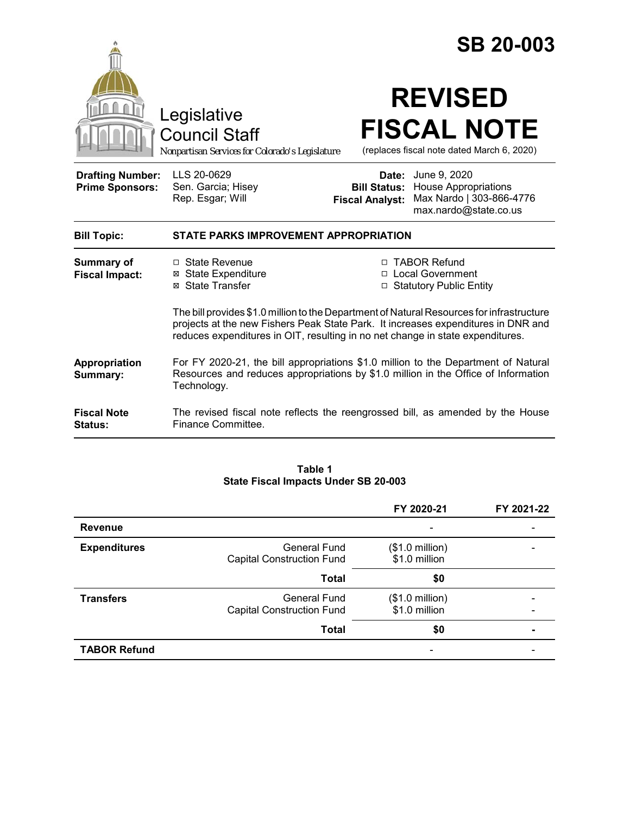|                                                   |                                                                                                                                                                                                                                                                  |                                                        | <b>SB 20-003</b>                                                                                 |  |
|---------------------------------------------------|------------------------------------------------------------------------------------------------------------------------------------------------------------------------------------------------------------------------------------------------------------------|--------------------------------------------------------|--------------------------------------------------------------------------------------------------|--|
|                                                   | Legislative<br><b>Council Staff</b><br>Nonpartisan Services for Colorado's Legislature                                                                                                                                                                           |                                                        | <b>REVISED</b><br><b>FISCAL NOTE</b><br>(replaces fiscal note dated March 6, 2020)               |  |
| <b>Drafting Number:</b><br><b>Prime Sponsors:</b> | LLS 20-0629<br>Sen. Garcia; Hisey<br>Rep. Esgar; Will                                                                                                                                                                                                            | Date:<br><b>Bill Status:</b><br><b>Fiscal Analyst:</b> | June 9, 2020<br><b>House Appropriations</b><br>Max Nardo   303-866-4776<br>max.nardo@state.co.us |  |
| <b>Bill Topic:</b>                                | STATE PARKS IMPROVEMENT APPROPRIATION                                                                                                                                                                                                                            |                                                        |                                                                                                  |  |
| <b>Summary of</b><br><b>Fiscal Impact:</b>        | $\Box$ State Revenue<br><b>⊠ State Expenditure</b><br>⊠ State Transfer                                                                                                                                                                                           |                                                        | □ TABOR Refund<br>□ Local Government<br>□ Statutory Public Entity                                |  |
|                                                   | The bill provides \$1.0 million to the Department of Natural Resources for infrastructure<br>projects at the new Fishers Peak State Park. It increases expenditures in DNR and<br>reduces expenditures in OIT, resulting in no net change in state expenditures. |                                                        |                                                                                                  |  |
| Appropriation<br>Summary:                         | For FY 2020-21, the bill appropriations \$1.0 million to the Department of Natural<br>Resources and reduces appropriations by \$1.0 million in the Office of Information<br>Technology.                                                                          |                                                        |                                                                                                  |  |
| <b>Fiscal Note</b><br><b>Status:</b>              | The revised fiscal note reflects the reengrossed bill, as amended by the House<br>Finance Committee.                                                                                                                                                             |                                                        |                                                                                                  |  |

#### **Table 1 State Fiscal Impacts Under SB 20-003**

|                     |                                                         | FY 2020-21                                | FY 2021-22 |
|---------------------|---------------------------------------------------------|-------------------------------------------|------------|
| <b>Revenue</b>      |                                                         | -                                         |            |
| <b>Expenditures</b> | General Fund<br><b>Capital Construction Fund</b>        | $($1.0 \text{ million})$<br>\$1.0 million |            |
|                     | <b>Total</b>                                            | \$0                                       |            |
| <b>Transfers</b>    | <b>General Fund</b><br><b>Capital Construction Fund</b> | $($1.0 \text{ million})$<br>\$1.0 million |            |
|                     | <b>Total</b>                                            | \$0                                       |            |
| <b>TABOR Refund</b> |                                                         |                                           |            |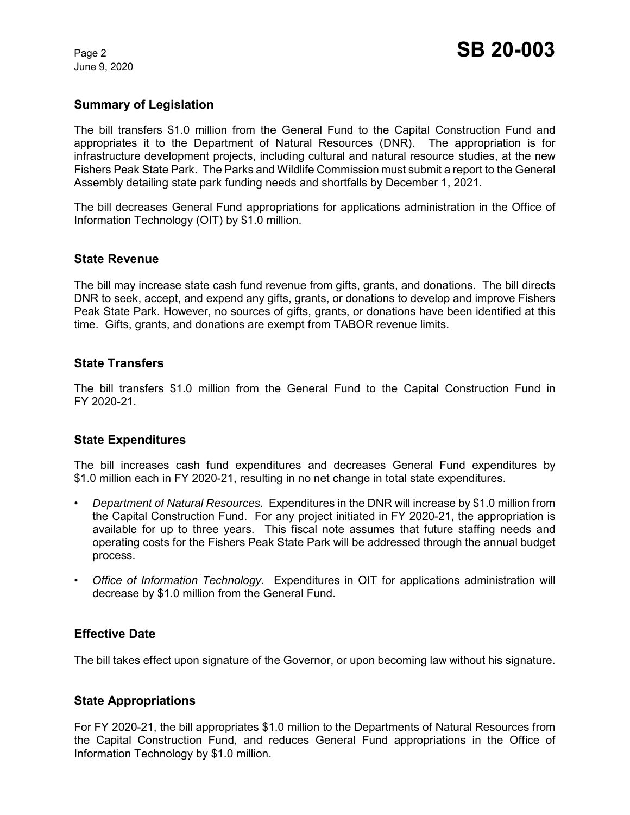June 9, 2020

## **Summary of Legislation**

The bill transfers \$1.0 million from the General Fund to the Capital Construction Fund and appropriates it to the Department of Natural Resources (DNR). The appropriation is for infrastructure development projects, including cultural and natural resource studies, at the new Fishers Peak State Park. The Parks and Wildlife Commission must submit a report to the General Assembly detailing state park funding needs and shortfalls by December 1, 2021.

The bill decreases General Fund appropriations for applications administration in the Office of Information Technology (OIT) by \$1.0 million.

#### **State Revenue**

The bill may increase state cash fund revenue from gifts, grants, and donations. The bill directs DNR to seek, accept, and expend any gifts, grants, or donations to develop and improve Fishers Peak State Park. However, no sources of gifts, grants, or donations have been identified at this time. Gifts, grants, and donations are exempt from TABOR revenue limits.

#### **State Transfers**

The bill transfers \$1.0 million from the General Fund to the Capital Construction Fund in FY 2020-21.

## **State Expenditures**

The bill increases cash fund expenditures and decreases General Fund expenditures by \$1.0 million each in FY 2020-21, resulting in no net change in total state expenditures.

- *Department of Natural Resources.* Expenditures in the DNR will increase by \$1.0 million from the Capital Construction Fund. For any project initiated in FY 2020-21, the appropriation is available for up to three years. This fiscal note assumes that future staffing needs and operating costs for the Fishers Peak State Park will be addressed through the annual budget process.
- *Office of Information Technology.* Expenditures in OIT for applications administration will decrease by \$1.0 million from the General Fund.

## **Effective Date**

The bill takes effect upon signature of the Governor, or upon becoming law without his signature.

## **State Appropriations**

For FY 2020-21, the bill appropriates \$1.0 million to the Departments of Natural Resources from the Capital Construction Fund, and reduces General Fund appropriations in the Office of Information Technology by \$1.0 million.